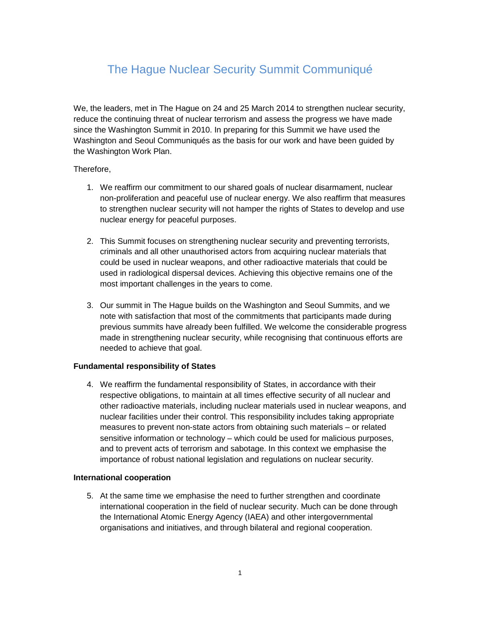# The Hague Nuclear Security Summit Communiqué

We, the leaders, met in The Hague on 24 and 25 March 2014 to strengthen nuclear security, reduce the continuing threat of nuclear terrorism and assess the progress we have made since the Washington Summit in 2010. In preparing for this Summit we have used the Washington and Seoul Communiqués as the basis for our work and have been guided by the Washington Work Plan.

# Therefore,

- 1. We reaffirm our commitment to our shared goals of nuclear disarmament, nuclear non-proliferation and peaceful use of nuclear energy. We also reaffirm that measures to strengthen nuclear security will not hamper the rights of States to develop and use nuclear energy for peaceful purposes.
- 2. This Summit focuses on strengthening nuclear security and preventing terrorists, criminals and all other unauthorised actors from acquiring nuclear materials that could be used in nuclear weapons, and other radioactive materials that could be used in radiological dispersal devices. Achieving this objective remains one of the most important challenges in the years to come.
- 3. Our summit in The Hague builds on the Washington and Seoul Summits, and we note with satisfaction that most of the commitments that participants made during previous summits have already been fulfilled. We welcome the considerable progress made in strengthening nuclear security, while recognising that continuous efforts are needed to achieve that goal.

## **Fundamental responsibility of States**

4. We reaffirm the fundamental responsibility of States, in accordance with their respective obligations, to maintain at all times effective security of all nuclear and other radioactive materials, including nuclear materials used in nuclear weapons, and nuclear facilities under their control. This responsibility includes taking appropriate measures to prevent non-state actors from obtaining such materials – or related sensitive information or technology – which could be used for malicious purposes, and to prevent acts of terrorism and sabotage. In this context we emphasise the importance of robust national legislation and regulations on nuclear security.

## **International cooperation**

5. At the same time we emphasise the need to further strengthen and coordinate international cooperation in the field of nuclear security. Much can be done through the International Atomic Energy Agency (IAEA) and other intergovernmental organisations and initiatives, and through bilateral and regional cooperation.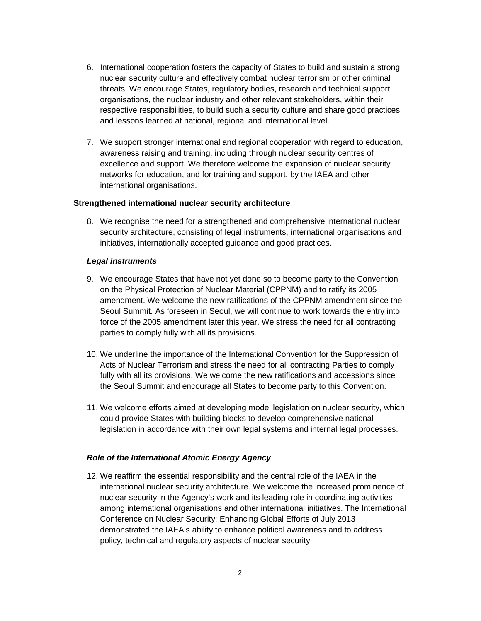- 6. International cooperation fosters the capacity of States to build and sustain a strong nuclear security culture and effectively combat nuclear terrorism or other criminal threats. We encourage States, regulatory bodies, research and technical support organisations, the nuclear industry and other relevant stakeholders, within their respective responsibilities, to build such a security culture and share good practices and lessons learned at national, regional and international level.
- 7. We support stronger international and regional cooperation with regard to education, awareness raising and training, including through nuclear security centres of excellence and support. We therefore welcome the expansion of nuclear security networks for education, and for training and support, by the IAEA and other international organisations.

#### **Strengthened international nuclear security architecture**

8. We recognise the need for a strengthened and comprehensive international nuclear security architecture, consisting of legal instruments, international organisations and initiatives, internationally accepted guidance and good practices.

#### **Legal instruments**

- 9. We encourage States that have not yet done so to become party to the Convention on the Physical Protection of Nuclear Material (CPPNM) and to ratify its 2005 amendment. We welcome the new ratifications of the CPPNM amendment since the Seoul Summit. As foreseen in Seoul, we will continue to work towards the entry into force of the 2005 amendment later this year. We stress the need for all contracting parties to comply fully with all its provisions.
- 10. We underline the importance of the International Convention for the Suppression of Acts of Nuclear Terrorism and stress the need for all contracting Parties to comply fully with all its provisions. We welcome the new ratifications and accessions since the Seoul Summit and encourage all States to become party to this Convention.
- 11. We welcome efforts aimed at developing model legislation on nuclear security, which could provide States with building blocks to develop comprehensive national legislation in accordance with their own legal systems and internal legal processes.

#### **Role of the International Atomic Energy Agency**

12. We reaffirm the essential responsibility and the central role of the IAEA in the international nuclear security architecture. We welcome the increased prominence of nuclear security in the Agency's work and its leading role in coordinating activities among international organisations and other international initiatives. The International Conference on Nuclear Security: Enhancing Global Efforts of July 2013 demonstrated the IAEA's ability to enhance political awareness and to address policy, technical and regulatory aspects of nuclear security.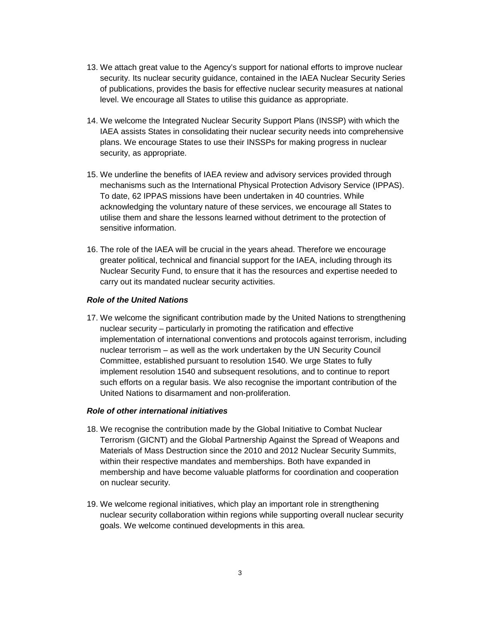- 13. We attach great value to the Agency's support for national efforts to improve nuclear security. Its nuclear security guidance, contained in the IAEA Nuclear Security Series of publications, provides the basis for effective nuclear security measures at national level. We encourage all States to utilise this guidance as appropriate.
- 14. We welcome the Integrated Nuclear Security Support Plans (INSSP) with which the IAEA assists States in consolidating their nuclear security needs into comprehensive plans. We encourage States to use their INSSPs for making progress in nuclear security, as appropriate.
- 15. We underline the benefits of IAEA review and advisory services provided through mechanisms such as the International Physical Protection Advisory Service (IPPAS). To date, 62 IPPAS missions have been undertaken in 40 countries. While acknowledging the voluntary nature of these services, we encourage all States to utilise them and share the lessons learned without detriment to the protection of sensitive information.
- 16. The role of the IAEA will be crucial in the years ahead. Therefore we encourage greater political, technical and financial support for the IAEA, including through its Nuclear Security Fund, to ensure that it has the resources and expertise needed to carry out its mandated nuclear security activities.

# **Role of the United Nations**

17. We welcome the significant contribution made by the United Nations to strengthening nuclear security – particularly in promoting the ratification and effective implementation of international conventions and protocols against terrorism, including nuclear terrorism – as well as the work undertaken by the UN Security Council Committee, established pursuant to resolution 1540. We urge States to fully implement resolution 1540 and subsequent resolutions, and to continue to report such efforts on a regular basis. We also recognise the important contribution of the United Nations to disarmament and non-proliferation.

## **Role of other international initiatives**

- 18. We recognise the contribution made by the Global Initiative to Combat Nuclear Terrorism (GICNT) and the Global Partnership Against the Spread of Weapons and Materials of Mass Destruction since the 2010 and 2012 Nuclear Security Summits, within their respective mandates and memberships. Both have expanded in membership and have become valuable platforms for coordination and cooperation on nuclear security.
- 19. We welcome regional initiatives, which play an important role in strengthening nuclear security collaboration within regions while supporting overall nuclear security goals. We welcome continued developments in this area.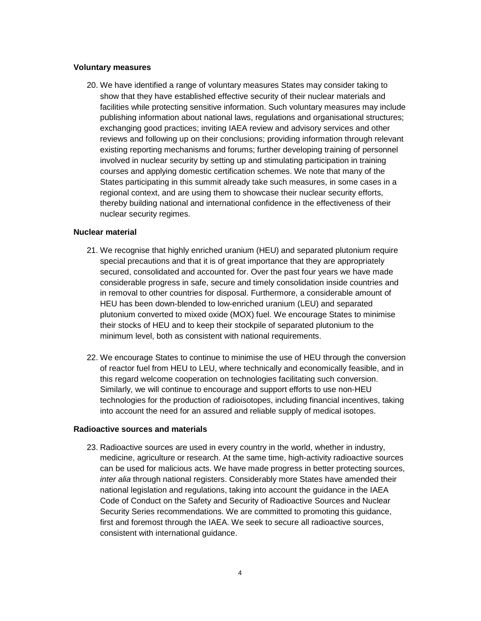## **Voluntary measures**

20. We have identified a range of voluntary measures States may consider taking to show that they have established effective security of their nuclear materials and facilities while protecting sensitive information. Such voluntary measures may include publishing information about national laws, regulations and organisational structures; exchanging good practices; inviting IAEA review and advisory services and other reviews and following up on their conclusions; providing information through relevant existing reporting mechanisms and forums; further developing training of personnel involved in nuclear security by setting up and stimulating participation in training courses and applying domestic certification schemes. We note that many of the States participating in this summit already take such measures, in some cases in a regional context, and are using them to showcase their nuclear security efforts, thereby building national and international confidence in the effectiveness of their nuclear security regimes.

# **Nuclear material**

- 21. We recognise that highly enriched uranium (HEU) and separated plutonium require special precautions and that it is of great importance that they are appropriately secured, consolidated and accounted for. Over the past four years we have made considerable progress in safe, secure and timely consolidation inside countries and in removal to other countries for disposal. Furthermore, a considerable amount of HEU has been down-blended to low-enriched uranium (LEU) and separated plutonium converted to mixed oxide (MOX) fuel. We encourage States to minimise their stocks of HEU and to keep their stockpile of separated plutonium to the minimum level, both as consistent with national requirements.
- 22. We encourage States to continue to minimise the use of HEU through the conversion of reactor fuel from HEU to LEU, where technically and economically feasible, and in this regard welcome cooperation on technologies facilitating such conversion. Similarly, we will continue to encourage and support efforts to use non-HEU technologies for the production of radioisotopes, including financial incentives, taking into account the need for an assured and reliable supply of medical isotopes.

#### **Radioactive sources and materials**

23. Radioactive sources are used in every country in the world, whether in industry, medicine, agriculture or research. At the same time, high-activity radioactive sources can be used for malicious acts. We have made progress in better protecting sources, inter alia through national registers. Considerably more States have amended their national legislation and regulations, taking into account the guidance in the IAEA Code of Conduct on the Safety and Security of Radioactive Sources and Nuclear Security Series recommendations. We are committed to promoting this guidance, first and foremost through the IAEA. We seek to secure all radioactive sources, consistent with international guidance.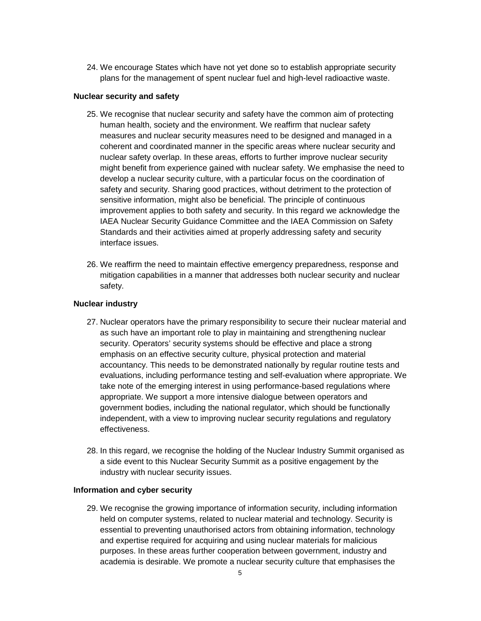24. We encourage States which have not yet done so to establish appropriate security plans for the management of spent nuclear fuel and high-level radioactive waste.

## **Nuclear security and safety**

- 25. We recognise that nuclear security and safety have the common aim of protecting human health, society and the environment. We reaffirm that nuclear safety measures and nuclear security measures need to be designed and managed in a coherent and coordinated manner in the specific areas where nuclear security and nuclear safety overlap. In these areas, efforts to further improve nuclear security might benefit from experience gained with nuclear safety. We emphasise the need to develop a nuclear security culture, with a particular focus on the coordination of safety and security. Sharing good practices, without detriment to the protection of sensitive information, might also be beneficial. The principle of continuous improvement applies to both safety and security. In this regard we acknowledge the IAEA Nuclear Security Guidance Committee and the IAEA Commission on Safety Standards and their activities aimed at properly addressing safety and security interface issues.
- 26. We reaffirm the need to maintain effective emergency preparedness, response and mitigation capabilities in a manner that addresses both nuclear security and nuclear safety.

# **Nuclear industry**

- 27. Nuclear operators have the primary responsibility to secure their nuclear material and as such have an important role to play in maintaining and strengthening nuclear security. Operators' security systems should be effective and place a strong emphasis on an effective security culture, physical protection and material accountancy. This needs to be demonstrated nationally by regular routine tests and evaluations, including performance testing and self-evaluation where appropriate. We take note of the emerging interest in using performance-based regulations where appropriate. We support a more intensive dialogue between operators and government bodies, including the national regulator, which should be functionally independent, with a view to improving nuclear security regulations and regulatory effectiveness.
- 28. In this regard, we recognise the holding of the Nuclear Industry Summit organised as a side event to this Nuclear Security Summit as a positive engagement by the industry with nuclear security issues.

## **Information and cyber security**

29. We recognise the growing importance of information security, including information held on computer systems, related to nuclear material and technology. Security is essential to preventing unauthorised actors from obtaining information, technology and expertise required for acquiring and using nuclear materials for malicious purposes. In these areas further cooperation between government, industry and academia is desirable. We promote a nuclear security culture that emphasises the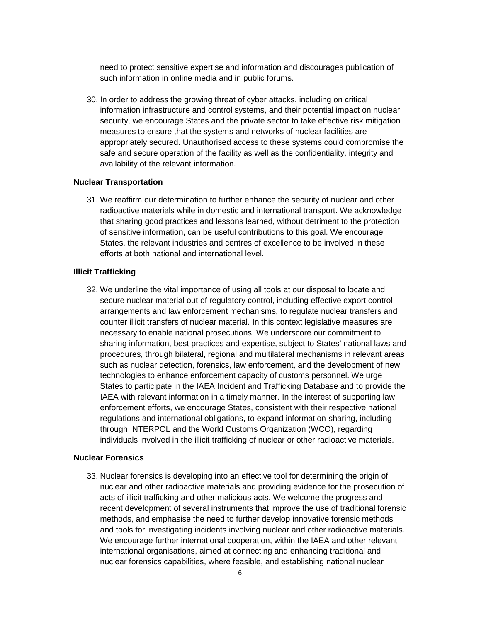need to protect sensitive expertise and information and discourages publication of such information in online media and in public forums.

30. In order to address the growing threat of cyber attacks, including on critical information infrastructure and control systems, and their potential impact on nuclear security, we encourage States and the private sector to take effective risk mitigation measures to ensure that the systems and networks of nuclear facilities are appropriately secured. Unauthorised access to these systems could compromise the safe and secure operation of the facility as well as the confidentiality, integrity and availability of the relevant information.

#### **Nuclear Transportation**

31. We reaffirm our determination to further enhance the security of nuclear and other radioactive materials while in domestic and international transport. We acknowledge that sharing good practices and lessons learned, without detriment to the protection of sensitive information, can be useful contributions to this goal. We encourage States, the relevant industries and centres of excellence to be involved in these efforts at both national and international level.

### **Illicit Trafficking**

32. We underline the vital importance of using all tools at our disposal to locate and secure nuclear material out of regulatory control, including effective export control arrangements and law enforcement mechanisms, to regulate nuclear transfers and counter illicit transfers of nuclear material. In this context legislative measures are necessary to enable national prosecutions. We underscore our commitment to sharing information, best practices and expertise, subject to States' national laws and procedures, through bilateral, regional and multilateral mechanisms in relevant areas such as nuclear detection, forensics, law enforcement, and the development of new technologies to enhance enforcement capacity of customs personnel. We urge States to participate in the IAEA Incident and Trafficking Database and to provide the IAEA with relevant information in a timely manner. In the interest of supporting law enforcement efforts, we encourage States, consistent with their respective national regulations and international obligations, to expand information-sharing, including through INTERPOL and the World Customs Organization (WCO), regarding individuals involved in the illicit trafficking of nuclear or other radioactive materials.

# **Nuclear Forensics**

33. Nuclear forensics is developing into an effective tool for determining the origin of nuclear and other radioactive materials and providing evidence for the prosecution of acts of illicit trafficking and other malicious acts. We welcome the progress and recent development of several instruments that improve the use of traditional forensic methods, and emphasise the need to further develop innovative forensic methods and tools for investigating incidents involving nuclear and other radioactive materials. We encourage further international cooperation, within the IAEA and other relevant international organisations, aimed at connecting and enhancing traditional and nuclear forensics capabilities, where feasible, and establishing national nuclear